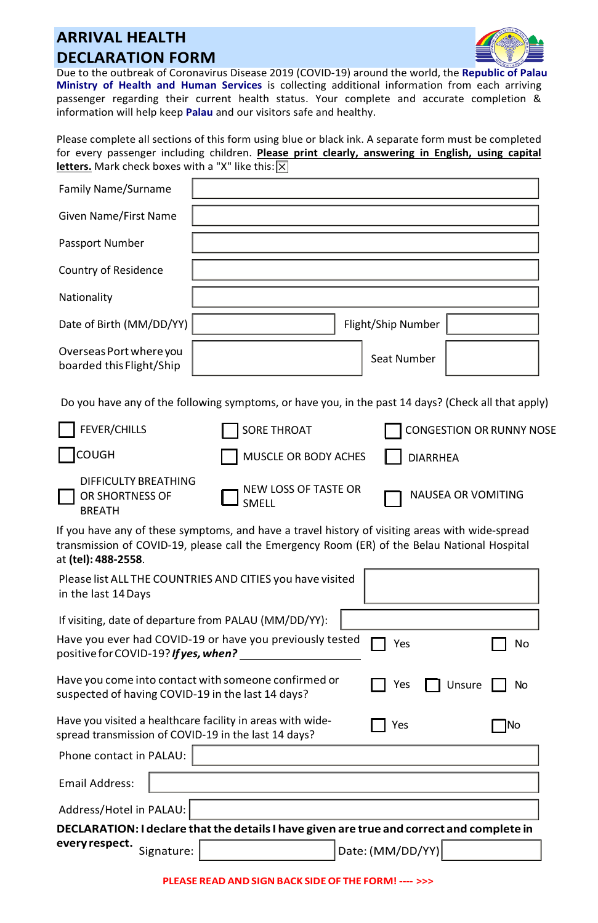## **ARRIVAL HEALTH DECLARATION FORM**



Due to the outbreak of Coronavirus Disease 2019 (COVID-19) around the world, the **Republic of Palau Ministry of Health and Human Services** is collecting additional information from each arriving passenger regarding their current health status. Your complete and accurate completion & information will help keep **Palau** and our visitors safe and healthy.

Please complete all sections of this form using blue or black ink. A separate form must be completed for every passenger including children. **Please print clearly, answering in English, using capital letters.** Mark check boxes with a "X" like this:  $\boxed{\times}$ 

| <b>Family Name/Surname</b>                                                                                         |                               |                                                                                                                                                                                                 |    |
|--------------------------------------------------------------------------------------------------------------------|-------------------------------|-------------------------------------------------------------------------------------------------------------------------------------------------------------------------------------------------|----|
| Given Name/First Name                                                                                              |                               |                                                                                                                                                                                                 |    |
| Passport Number                                                                                                    |                               |                                                                                                                                                                                                 |    |
| Country of Residence                                                                                               |                               |                                                                                                                                                                                                 |    |
| Nationality                                                                                                        |                               |                                                                                                                                                                                                 |    |
| Date of Birth (MM/DD/YY)                                                                                           |                               | Flight/Ship Number                                                                                                                                                                              |    |
| Overseas Port where you<br>boarded this Flight/Ship                                                                |                               | Seat Number                                                                                                                                                                                     |    |
|                                                                                                                    |                               | Do you have any of the following symptoms, or have you, in the past 14 days? (Check all that apply)                                                                                             |    |
| <b>FEVER/CHILLS</b>                                                                                                | <b>SORE THROAT</b>            | <b>CONGESTION OR RUNNY NOSE</b>                                                                                                                                                                 |    |
| <b>COUGH</b>                                                                                                       | MUSCLE OR BODY ACHES          | <b>DIARRHEA</b>                                                                                                                                                                                 |    |
| DIFFICULTY BREATHING<br>OR SHORTNESS OF<br><b>BREATH</b>                                                           | NEW LOSS OF TASTE OR<br>SMELL | NAUSEA OR VOMITING                                                                                                                                                                              |    |
| at <b>(tel): 488-2558</b> .                                                                                        |                               | If you have any of these symptoms, and have a travel history of visiting areas with wide-spread<br>transmission of COVID-19, please call the Emergency Room (ER) of the Belau National Hospital |    |
| Please list ALL THE COUNTRIES AND CITIES you have visited<br>in the last 14 Days                                   |                               |                                                                                                                                                                                                 |    |
| If visiting, date of departure from PALAU (MM/DD/YY):                                                              |                               |                                                                                                                                                                                                 |    |
| Have you ever had COVID-19 or have you previously tested<br>positive for COVID-19? <b>If yes, when?</b>            |                               | Yes                                                                                                                                                                                             | No |
| Have you come into contact with someone confirmed or<br>suspected of having COVID-19 in the last 14 days?          |                               | Unsure<br>Yes                                                                                                                                                                                   | No |
| Have you visited a healthcare facility in areas with wide-<br>spread transmission of COVID-19 in the last 14 days? |                               | Yes                                                                                                                                                                                             | No |
| Phone contact in PALAU:                                                                                            |                               |                                                                                                                                                                                                 |    |
| <b>Email Address:</b>                                                                                              |                               |                                                                                                                                                                                                 |    |
| Address/Hotel in PALAU:                                                                                            |                               |                                                                                                                                                                                                 |    |
| DECLARATION: I declare that the details I have given are true and correct and complete in                          |                               |                                                                                                                                                                                                 |    |
| every respect.<br>Signature:                                                                                       |                               | Date: (MM/DD/YY)                                                                                                                                                                                |    |

**PLEASE READ ANDSIGNBACK SIDE OF THE FORM! ---- >>>**